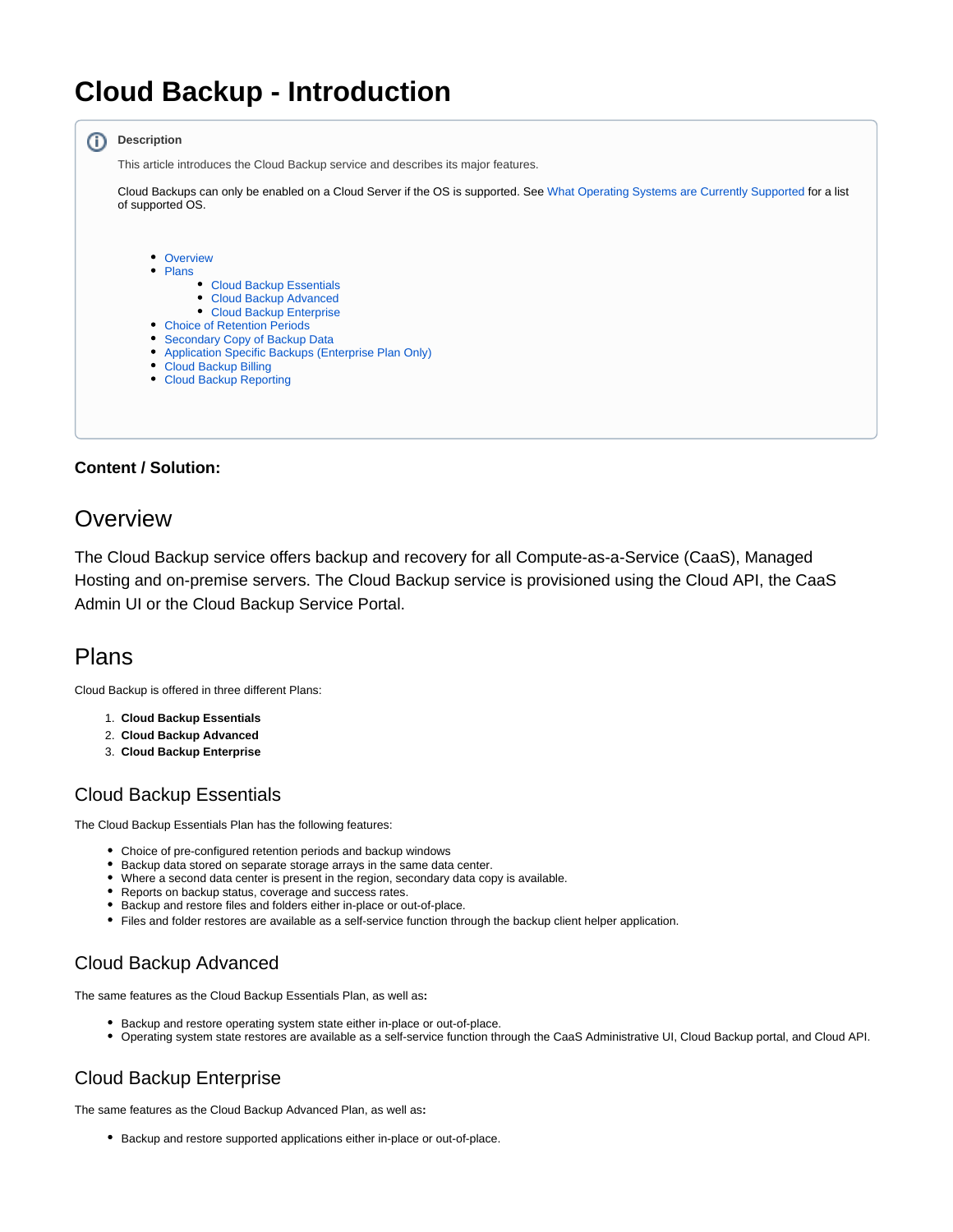# **Cloud Backup - Introduction**

<span id="page-0-5"></span>

#### **Content / Solution:**

#### <span id="page-0-0"></span>**Overview**

The Cloud Backup service offers backup and recovery for all Compute-as-a-Service (CaaS), Managed Hosting and on-premise servers. The Cloud Backup service is provisioned using the Cloud API, the CaaS Admin UI or the Cloud Backup Service Portal.

### <span id="page-0-1"></span>Plans

Cloud Backup is offered in three different Plans:

- 1. **Cloud Backup Essentials**
- 2. **Cloud Backup Advanced**
- 3. **Cloud Backup Enterprise**

#### <span id="page-0-2"></span>Cloud Backup Essentials

The Cloud Backup Essentials Plan has the following features:

- Choice of pre-configured retention periods and backup windows
- Backup data stored on separate storage arrays in the same data center.
- Where a second data center is present in the region, secondary data copy is available.
- Reports on backup status, coverage and success rates.
- Backup and restore files and folders either in-place or out-of-place.
- Files and folder restores are available as a self-service function through the backup client helper application.

#### <span id="page-0-3"></span>Cloud Backup Advanced

The same features as the Cloud Backup Essentials Plan, as well as**:**

- Backup and restore operating system state either in-place or out-of-place.
- Operating system state restores are available as a self-service function through the CaaS Administrative UI, Cloud Backup portal, and Cloud API.

#### <span id="page-0-4"></span>Cloud Backup Enterprise

The same features as the Cloud Backup Advanced Plan, as well as**:**

Backup and restore supported applications either in-place or out-of-place.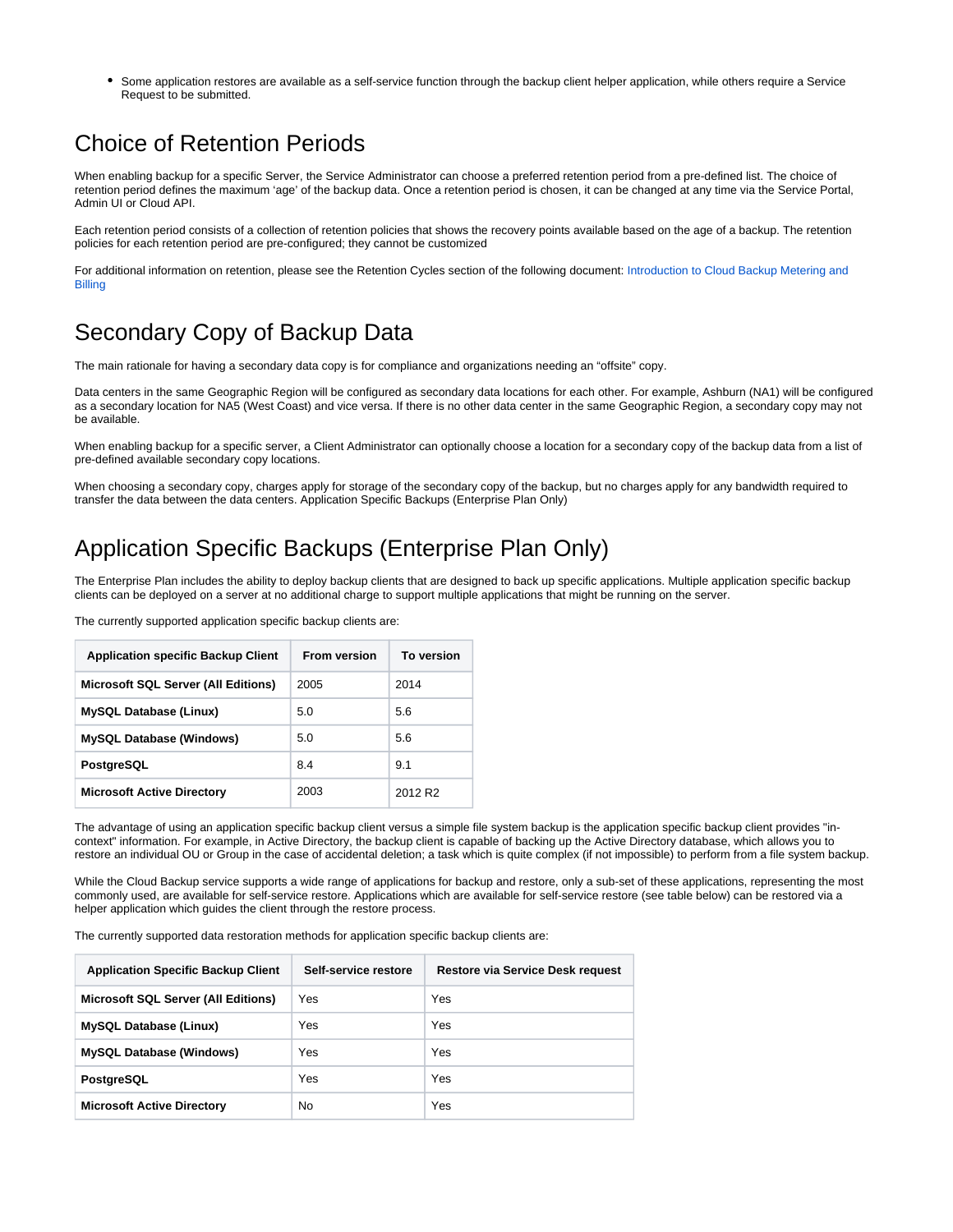Some application restores are available as a self-service function through the backup client helper application, while others require a Service Request to be submitted.

### <span id="page-1-0"></span>Choice of Retention Periods

When enabling backup for a specific Server, the Service Administrator can choose a preferred retention period from a pre-defined list. The choice of retention period defines the maximum 'age' of the backup data. Once a retention period is chosen, it can be changed at any time via the Service Portal, Admin UI or Cloud API.

Each retention period consists of a collection of retention policies that shows the recovery points available based on the age of a backup. The retention policies for each retention period are pre-configured; they cannot be customized

For additional information on retention, please see the Retention Cycles section of the following document: Introduction to Cloud Backup Metering and [Billing](https://docs.mcp-services.net/display/CCD/Introduction+to+Cloud+Backup+Metering+and+Billing)

## <span id="page-1-1"></span>Secondary Copy of Backup Data

The main rationale for having a secondary data copy is for compliance and organizations needing an "offsite" copy.

Data centers in the same Geographic Region will be configured as secondary data locations for each other. For example, Ashburn (NA1) will be configured as a secondary location for NA5 (West Coast) and vice versa. If there is no other data center in the same Geographic Region, a secondary copy may not be available.

When enabling backup for a specific server, a Client Administrator can optionally choose a location for a secondary copy of the backup data from a list of pre-defined available secondary copy locations.

When choosing a secondary copy, charges apply for storage of the secondary copy of the backup, but no charges apply for any bandwidth required to transfer the data between the data centers. Application Specific Backups (Enterprise Plan Only)

## <span id="page-1-2"></span>Application Specific Backups (Enterprise Plan Only)

The Enterprise Plan includes the ability to deploy backup clients that are designed to back up specific applications. Multiple application specific backup clients can be deployed on a server at no additional charge to support multiple applications that might be running on the server.

The currently supported application specific backup clients are:

| <b>Application specific Backup Client</b>  | <b>From version</b> | To version          |
|--------------------------------------------|---------------------|---------------------|
| <b>Microsoft SQL Server (All Editions)</b> | 2005                | 2014                |
| <b>MySQL Database (Linux)</b>              | 5.0                 | 5.6                 |
| <b>MySQL Database (Windows)</b>            | 5.0                 | 5.6                 |
| PostgreSQL                                 | 8.4                 | 9.1                 |
| <b>Microsoft Active Directory</b>          | 2003                | 2012 R <sub>2</sub> |

The advantage of using an application specific backup client versus a simple file system backup is the application specific backup client provides "incontext" information. For example, in Active Directory, the backup client is capable of backing up the Active Directory database, which allows you to restore an individual OU or Group in the case of accidental deletion; a task which is quite complex (if not impossible) to perform from a file system backup.

While the Cloud Backup service supports a wide range of applications for backup and restore, only a sub-set of these applications, representing the most commonly used, are available for self-service restore. Applications which are available for self-service restore (see table below) can be restored via a helper application which guides the client through the restore process.

The currently supported data restoration methods for application specific backup clients are:

<span id="page-1-3"></span>

| <b>Application Specific Backup Client</b>  | Self-service restore | Restore via Service Desk request |
|--------------------------------------------|----------------------|----------------------------------|
| <b>Microsoft SQL Server (All Editions)</b> | Yes                  | Yes                              |
| <b>MySQL Database (Linux)</b>              | Yes                  | Yes                              |
| <b>MySQL Database (Windows)</b>            | Yes                  | Yes                              |
| PostgreSQL                                 | Yes                  | Yes                              |
| <b>Microsoft Active Directory</b>          | <b>No</b>            | Yes                              |